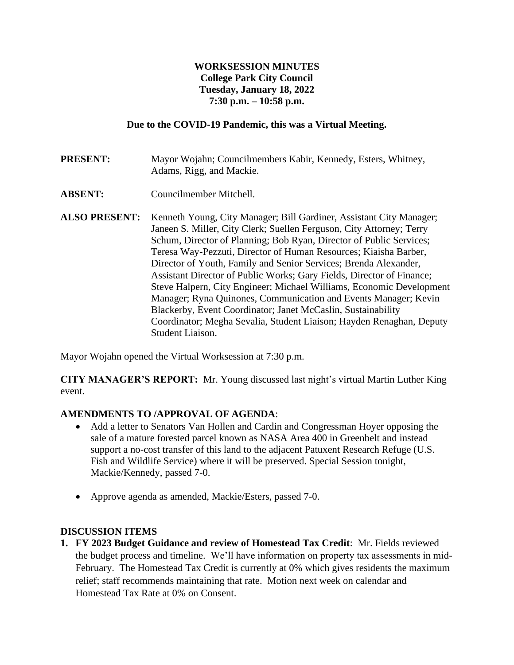# **WORKSESSION MINUTES College Park City Council Tuesday, January 18, 2022 7:30 p.m. – 10:58 p.m.**

## **Due to the COVID-19 Pandemic, this was a Virtual Meeting.**

**PRESENT:** Mayor Wojahn; Councilmembers Kabir, Kennedy, Esters, Whitney, Adams, Rigg, and Mackie.

- **ABSENT:** Councilmember Mitchell.
- **ALSO PRESENT:** Kenneth Young, City Manager; Bill Gardiner, Assistant City Manager; Janeen S. Miller, City Clerk; Suellen Ferguson, City Attorney; Terry Schum, Director of Planning; Bob Ryan, Director of Public Services; Teresa Way-Pezzuti, Director of Human Resources; Kiaisha Barber, Director of Youth, Family and Senior Services; Brenda Alexander, Assistant Director of Public Works; Gary Fields, Director of Finance; Steve Halpern, City Engineer; Michael Williams, Economic Development Manager; Ryna Quinones, Communication and Events Manager; Kevin Blackerby, Event Coordinator; Janet McCaslin, Sustainability Coordinator; Megha Sevalia, Student Liaison; Hayden Renaghan, Deputy Student Liaison.

Mayor Wojahn opened the Virtual Worksession at 7:30 p.m.

**CITY MANAGER'S REPORT:** Mr. Young discussed last night's virtual Martin Luther King event.

# **AMENDMENTS TO /APPROVAL OF AGENDA**:

- Add a letter to Senators Van Hollen and Cardin and Congressman Hoyer opposing the sale of a mature forested parcel known as NASA Area 400 in Greenbelt and instead support a no-cost transfer of this land to the adjacent Patuxent Research Refuge (U.S. Fish and Wildlife Service) where it will be preserved. Special Session tonight, Mackie/Kennedy, passed 7-0.
- Approve agenda as amended, Mackie/Esters, passed 7-0.

#### **DISCUSSION ITEMS**

**1. FY 2023 Budget Guidance and review of Homestead Tax Credit**: Mr. Fields reviewed the budget process and timeline. We'll have information on property tax assessments in mid-February. The Homestead Tax Credit is currently at 0% which gives residents the maximum relief; staff recommends maintaining that rate. Motion next week on calendar and Homestead Tax Rate at 0% on Consent.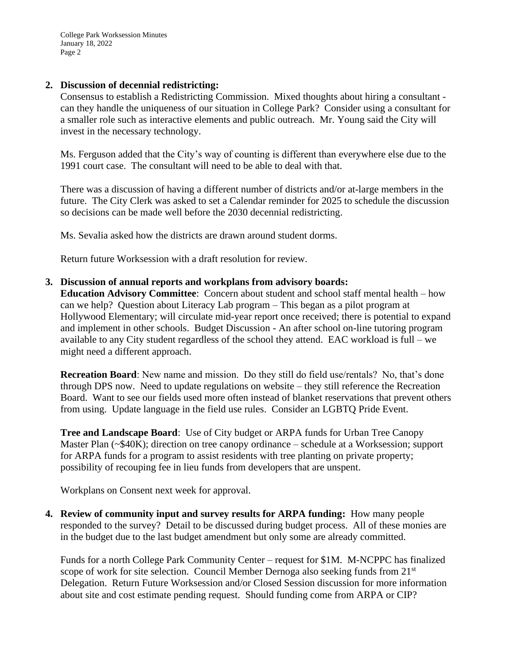College Park Worksession Minutes January 18, 2022 Page 2

### **2. Discussion of decennial redistricting:**

Consensus to establish a Redistricting Commission. Mixed thoughts about hiring a consultant can they handle the uniqueness of our situation in College Park? Consider using a consultant for a smaller role such as interactive elements and public outreach. Mr. Young said the City will invest in the necessary technology.

Ms. Ferguson added that the City's way of counting is different than everywhere else due to the 1991 court case. The consultant will need to be able to deal with that.

There was a discussion of having a different number of districts and/or at-large members in the future. The City Clerk was asked to set a Calendar reminder for 2025 to schedule the discussion so decisions can be made well before the 2030 decennial redistricting.

Ms. Sevalia asked how the districts are drawn around student dorms.

Return future Worksession with a draft resolution for review.

**3. Discussion of annual reports and workplans from advisory boards:**

**Education Advisory Committee**: Concern about student and school staff mental health – how can we help? Question about Literacy Lab program – This began as a pilot program at Hollywood Elementary; will circulate mid-year report once received; there is potential to expand and implement in other schools. Budget Discussion - An after school on-line tutoring program available to any City student regardless of the school they attend. EAC workload is full – we might need a different approach.

**Recreation Board:** New name and mission. Do they still do field use/rentals? No, that's done through DPS now. Need to update regulations on website – they still reference the Recreation Board. Want to see our fields used more often instead of blanket reservations that prevent others from using. Update language in the field use rules. Consider an LGBTQ Pride Event.

**Tree and Landscape Board**: Use of City budget or ARPA funds for Urban Tree Canopy Master Plan (~\$40K); direction on tree canopy ordinance – schedule at a Worksession; support for ARPA funds for a program to assist residents with tree planting on private property; possibility of recouping fee in lieu funds from developers that are unspent.

Workplans on Consent next week for approval.

**4. Review of community input and survey results for ARPA funding:** How many people responded to the survey? Detail to be discussed during budget process. All of these monies are in the budget due to the last budget amendment but only some are already committed.

Funds for a north College Park Community Center – request for \$1M. M-NCPPC has finalized scope of work for site selection. Council Member Dernoga also seeking funds from 21<sup>st</sup> Delegation. Return Future Worksession and/or Closed Session discussion for more information about site and cost estimate pending request. Should funding come from ARPA or CIP?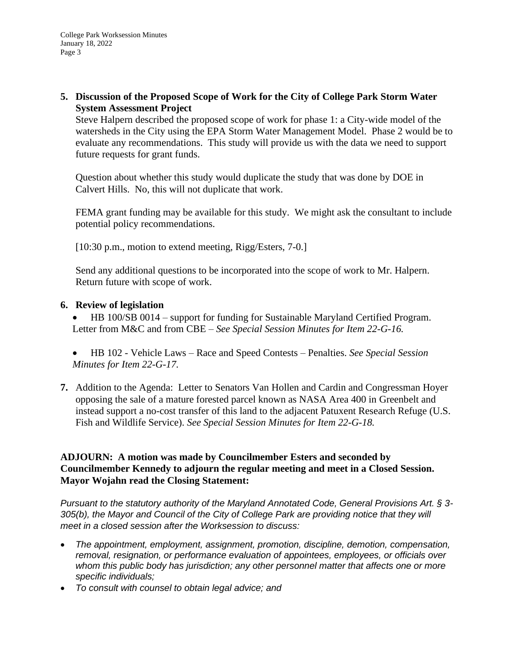**5. Discussion of the Proposed Scope of Work for the City of College Park Storm Water System Assessment Project**

Steve Halpern described the proposed scope of work for phase 1: a City-wide model of the watersheds in the City using the EPA Storm Water Management Model. Phase 2 would be to evaluate any recommendations. This study will provide us with the data we need to support future requests for grant funds.

Question about whether this study would duplicate the study that was done by DOE in Calvert Hills. No, this will not duplicate that work.

FEMA grant funding may be available for this study. We might ask the consultant to include potential policy recommendations.

[10:30 p.m., motion to extend meeting, Rigg/Esters, 7-0.]

Send any additional questions to be incorporated into the scope of work to Mr. Halpern. Return future with scope of work.

## **6. Review of legislation**

- HB 100/SB 0014 support for funding for Sustainable Maryland Certified Program. Letter from M&C and from CBE – *See Special Session Minutes for Item 22-G-16.*
- HB 102 Vehicle Laws Race and Speed Contests Penalties. *See Special Session Minutes for Item 22-G-17.*
- **7.** Addition to the Agenda: Letter to Senators Van Hollen and Cardin and Congressman Hoyer opposing the sale of a mature forested parcel known as NASA Area 400 in Greenbelt and instead support a no-cost transfer of this land to the adjacent Patuxent Research Refuge (U.S. Fish and Wildlife Service). *See Special Session Minutes for Item 22-G-18.*

## **ADJOURN: A motion was made by Councilmember Esters and seconded by Councilmember Kennedy to adjourn the regular meeting and meet in a Closed Session. Mayor Wojahn read the Closing Statement:**

*Pursuant to the statutory authority of the Maryland Annotated Code, General Provisions Art. § 3- 305(b), the Mayor and Council of the City of College Park are providing notice that they will meet in a closed session after the Worksession to discuss:*

- *The appointment, employment, assignment, promotion, discipline, demotion, compensation, removal, resignation, or performance evaluation of appointees, employees, or officials over whom this public body has jurisdiction; any other personnel matter that affects one or more specific individuals;*
- *To consult with counsel to obtain legal advice; and*